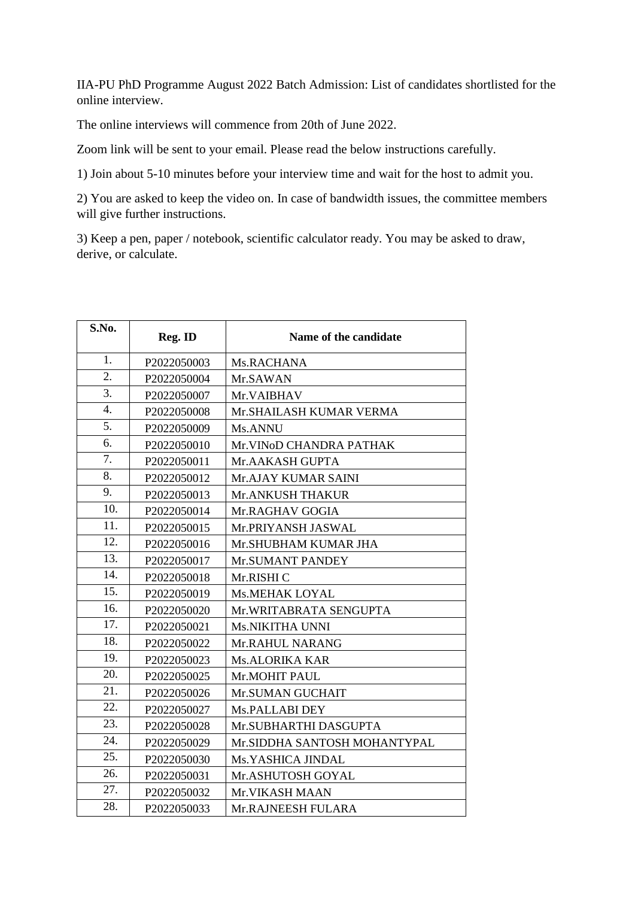IIA-PU PhD Programme August 2022 Batch Admission: List of candidates shortlisted for the online interview.

The online interviews will commence from 20th of June 2022.

Zoom link will be sent to your email. Please read the below instructions carefully.

1) Join about 5-10 minutes before your interview time and wait for the host to admit you.

2) You are asked to keep the video on. In case of bandwidth issues, the committee members will give further instructions.

3) Keep a pen, paper / notebook, scientific calculator ready. You may be asked to draw, derive, or calculate.

| S.No.            | Reg. ID     | Name of the candidate        |
|------------------|-------------|------------------------------|
| 1.               | P2022050003 | Ms.RACHANA                   |
| 2.               | P2022050004 | Mr.SAWAN                     |
| $\overline{3}$ . | P2022050007 | Mr.VAIBHAV                   |
| $\overline{4}$ . | P2022050008 | Mr. SHAILASH KUMAR VERMA     |
| 5.               | P2022050009 | Ms.ANNU                      |
| 6.               | P2022050010 | Mr.VINoD CHANDRA PATHAK      |
| 7.               | P2022050011 | Mr.AAKASH GUPTA              |
| 8.               | P2022050012 | Mr.AJAY KUMAR SAINI          |
| 9.               | P2022050013 | Mr.ANKUSH THAKUR             |
| 10.              | P2022050014 | Mr.RAGHAV GOGIA              |
| 11.              | P2022050015 | Mr.PRIYANSH JASWAL           |
| 12.              | P2022050016 | Mr.SHUBHAM KUMAR JHA         |
| 13.              | P2022050017 | Mr.SUMANT PANDEY             |
| 14.              | P2022050018 | Mr.RISHI C                   |
| 15.              | P2022050019 | Ms.MEHAK LOYAL               |
| 16.              | P2022050020 | Mr.WRITABRATA SENGUPTA       |
| 17.              | P2022050021 | Ms.NIKITHA UNNI              |
| 18.              | P2022050022 | Mr.RAHUL NARANG              |
| 19.              | P2022050023 | <b>Ms.ALORIKA KAR</b>        |
| 20.              | P2022050025 | Mr.MOHIT PAUL                |
| 21.              | P2022050026 | Mr.SUMAN GUCHAIT             |
| 22.              | P2022050027 | Ms.PALLABI DEY               |
| 23.              | P2022050028 | Mr.SUBHARTHI DASGUPTA        |
| 24.              | P2022050029 | Mr.SIDDHA SANTOSH MOHANTYPAL |
| 25.              | P2022050030 | Ms.YASHICA JINDAL            |
| 26.              | P2022050031 | Mr.ASHUTOSH GOYAL            |
| 27.              | P2022050032 | Mr. VIKASH MAAN              |
| 28.              | P2022050033 | Mr.RAJNEESH FULARA           |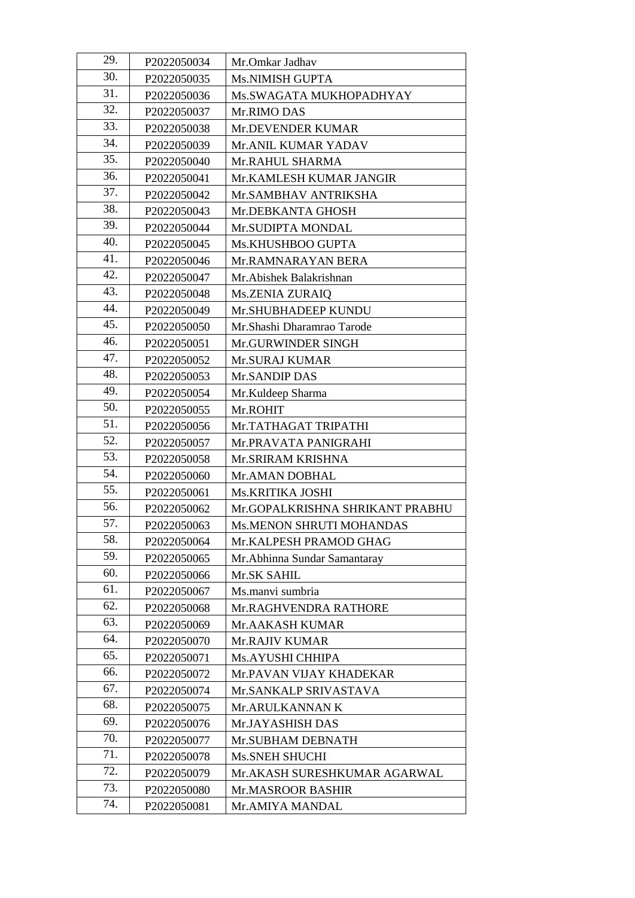| 29. | P2022050034 | Mr.Omkar Jadhav                 |
|-----|-------------|---------------------------------|
| 30. | P2022050035 | Ms.NIMISH GUPTA                 |
| 31. | P2022050036 | Ms.SWAGATA MUKHOPADHYAY         |
| 32. | P2022050037 | Mr.RIMO DAS                     |
| 33. | P2022050038 | Mr.DEVENDER KUMAR               |
| 34. | P2022050039 | Mr.ANIL KUMAR YADAV             |
| 35. | P2022050040 | Mr.RAHUL SHARMA                 |
| 36. | P2022050041 | Mr.KAMLESH KUMAR JANGIR         |
| 37. | P2022050042 | Mr.SAMBHAV ANTRIKSHA            |
| 38. | P2022050043 | Mr.DEBKANTA GHOSH               |
| 39. | P2022050044 | Mr.SUDIPTA MONDAL               |
| 40. | P2022050045 | Ms.KHUSHBOO GUPTA               |
| 41. | P2022050046 | Mr.RAMNARAYAN BERA              |
| 42. | P2022050047 | Mr. Abishek Balakrishnan        |
| 43. | P2022050048 | <b>Ms.ZENIA ZURAIQ</b>          |
| 44. | P2022050049 | Mr.SHUBHADEEP KUNDU             |
| 45. | P2022050050 | Mr.Shashi Dharamrao Tarode      |
| 46. | P2022050051 | Mr.GURWINDER SINGH              |
| 47. | P2022050052 | Mr.SURAJ KUMAR                  |
| 48. | P2022050053 | Mr.SANDIP DAS                   |
| 49. | P2022050054 | Mr.Kuldeep Sharma               |
| 50. | P2022050055 | Mr.ROHIT                        |
| 51. | P2022050056 | Mr.TATHAGAT TRIPATHI            |
| 52. | P2022050057 | Mr.PRAVATA PANIGRAHI            |
| 53. | P2022050058 | Mr.SRIRAM KRISHNA               |
| 54. | P2022050060 | Mr.AMAN DOBHAL                  |
| 55. | P2022050061 | Ms.KRITIKA JOSHI                |
| 56. | P2022050062 | Mr.GOPALKRISHNA SHRIKANT PRABHU |
| 57. | P2022050063 | Ms.MENON SHRUTI MOHANDAS        |
| 58. | P2022050064 | Mr.KALPESH PRAMOD GHAG          |
| 59. | P2022050065 | Mr.Abhinna Sundar Samantaray    |
| 60. | P2022050066 | Mr.SK SAHIL                     |
| 61. | P2022050067 | Ms.manvi sumbria                |
| 62. | P2022050068 | Mr.RAGHVENDRA RATHORE           |
| 63. | P2022050069 | Mr.AAKASH KUMAR                 |
| 64. | P2022050070 | Mr.RAJIV KUMAR                  |
| 65. | P2022050071 | Ms.AYUSHI CHHIPA                |
| 66. | P2022050072 | Mr.PAVAN VIJAY KHADEKAR         |
| 67. | P2022050074 | Mr.SANKALP SRIVASTAVA           |
| 68. | P2022050075 | Mr.ARULKANNAN K                 |
| 69. | P2022050076 | Mr.JAYASHISH DAS                |
| 70. | P2022050077 | Mr.SUBHAM DEBNATH               |
| 71. | P2022050078 | Ms.SNEH SHUCHI                  |
| 72. | P2022050079 | Mr.AKASH SURESHKUMAR AGARWAL    |
| 73. | P2022050080 | Mr.MASROOR BASHIR               |
| 74. | P2022050081 | Mr.AMIYA MANDAL                 |